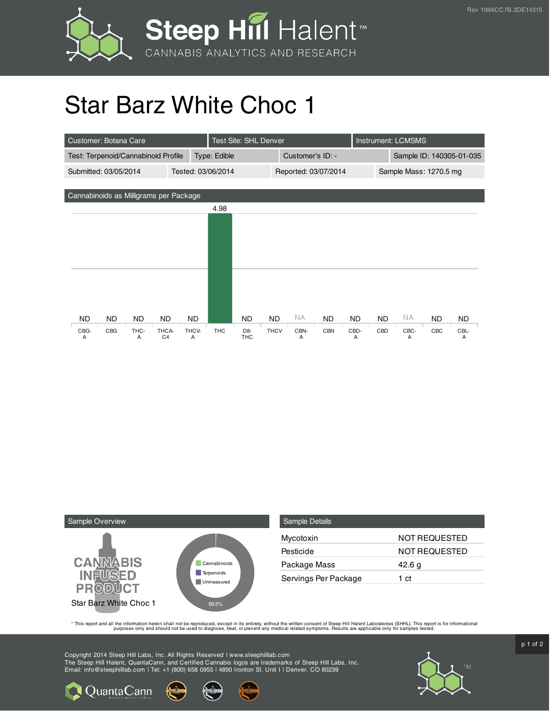

## Star Barz White Choc 1

| Customer: Botana Care                       | Test Site: SHL Denver                 |                                            |                          | Instrument: LCMSMS   |           |                          |     |           |  |  |
|---------------------------------------------|---------------------------------------|--------------------------------------------|--------------------------|----------------------|-----------|--------------------------|-----|-----------|--|--|
| Test: Terpenoid/Cannabinoid Profile         |                                       | Type: Edible                               |                          | Customer's ID: -     |           | Sample ID: 140305-01-035 |     |           |  |  |
| Submitted: 03/05/2014<br>Tested: 03/06/2014 |                                       |                                            |                          | Reported: 03/07/2014 |           | Sample Mass: 1270.5 mg   |     |           |  |  |
|                                             |                                       |                                            |                          |                      |           |                          |     |           |  |  |
| Cannabinoids as Milligrams per Package      |                                       |                                            |                          |                      |           |                          |     |           |  |  |
|                                             |                                       | 4.98                                       |                          |                      |           |                          |     |           |  |  |
|                                             |                                       |                                            |                          |                      |           |                          |     |           |  |  |
|                                             |                                       |                                            |                          |                      |           |                          |     |           |  |  |
|                                             |                                       |                                            |                          |                      |           |                          |     |           |  |  |
|                                             |                                       |                                            |                          |                      |           |                          |     |           |  |  |
|                                             |                                       |                                            |                          |                      |           |                          |     |           |  |  |
|                                             |                                       |                                            |                          |                      |           |                          |     |           |  |  |
|                                             |                                       |                                            |                          |                      |           |                          |     |           |  |  |
| ND.<br>ND.<br>ND.                           | ND.<br><b>ND</b>                      | ND                                         | NA.<br><b>ND</b>         | <b>ND</b>            | <b>ND</b> | <b>NA</b><br><b>ND</b>   | ND. | <b>ND</b> |  |  |
| CBG-<br>CBG<br>THC-<br>A<br>A               | THCA-<br>THCV-<br>C <sub>4</sub><br>A | <b>THC</b><br>D <sub>8</sub><br><b>THC</b> | <b>THCV</b><br>CBN-<br>A | <b>CBN</b>           | CBD-<br>A | CBD<br>CBC-<br>A         | CBC | CBL-<br>A |  |  |



| <b>Sample Details</b> |                      |
|-----------------------|----------------------|
| Mycotoxin             | <b>NOT REQUESTED</b> |
| Pesticide             | <b>NOT REQUESTED</b> |
| Package Mass          | 42.6 g               |
| Servings Per Package  | 1 ct                 |

This report and all the information herein shall not be reporduced, except in its entirety, without the written consent of Steep Hill Halent Laboratories (SHHL). This report is for informational all the instance, treat, or

Copyright 2014 Steep Hill Labs, Inc. All Rights Reserved | www.steephilllab.com The Steep Hill Halent, QuantaCann, and Certified Cannabis logos are trademarks of Steep Hill Labs, Inc. Email: info@steephilllab.com | Tel: +1 (800) 658 0955 | 4890 Ironton St. Unit I | Denver, CO 80239



p 1 of 2